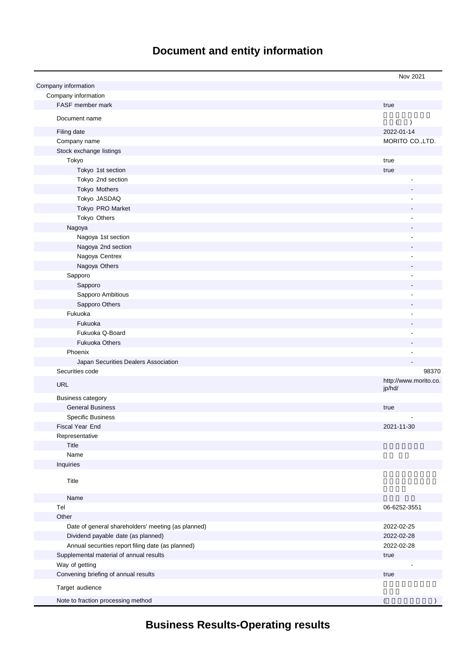# **Document and entity information**

|                                                    | Nov 2021                        |
|----------------------------------------------------|---------------------------------|
| Company information                                |                                 |
| Company information                                |                                 |
| FASF member mark                                   | true                            |
| Document name                                      |                                 |
|                                                    | $\lambda$<br>(                  |
| Filing date                                        | 2022-01-14                      |
| Company name                                       | MORITO CO., LTD.                |
| Stock exchange listings                            |                                 |
| Tokyo                                              | true                            |
| Tokyo 1st section                                  | true                            |
| Tokyo 2nd section                                  |                                 |
| Tokyo Mothers                                      |                                 |
| Tokyo JASDAQ                                       |                                 |
| Tokyo PRO Market                                   |                                 |
| Tokyo Others                                       |                                 |
| Nagoya                                             |                                 |
| Nagoya 1st section                                 |                                 |
| Nagoya 2nd section                                 |                                 |
| Nagoya Centrex                                     |                                 |
| Nagoya Others                                      |                                 |
| Sapporo                                            |                                 |
| Sapporo                                            |                                 |
| Sapporo Ambitious                                  |                                 |
| Sapporo Others                                     |                                 |
| Fukuoka                                            |                                 |
| Fukuoka                                            |                                 |
| Fukuoka Q-Board                                    |                                 |
| <b>Fukuoka Others</b>                              |                                 |
| Phoenix                                            |                                 |
| Japan Securities Dealers Association               |                                 |
| Securities code                                    | 98370                           |
| <b>URL</b>                                         | http://www.morito.co.<br>jp/hd/ |
| <b>Business category</b>                           |                                 |
| <b>General Business</b>                            | true                            |
| <b>Specific Business</b>                           |                                 |
| Fiscal Year End                                    | 2021-11-30                      |
| Representative                                     |                                 |
| Title                                              |                                 |
| Name                                               |                                 |
| Inquiries                                          |                                 |
| Title                                              |                                 |
| Name                                               |                                 |
| Tel                                                | 06-6252-3551                    |
| Other                                              |                                 |
| Date of general shareholders' meeting (as planned) | 2022-02-25                      |
| Dividend payable date (as planned)                 | 2022-02-28                      |
| Annual securities report filing date (as planned)  | 2022-02-28                      |
| Supplemental material of annual results            | true                            |
| Way of getting                                     |                                 |
| Convening briefing of annual results               | true                            |
| Target audience                                    |                                 |
| Note to fraction processing method                 |                                 |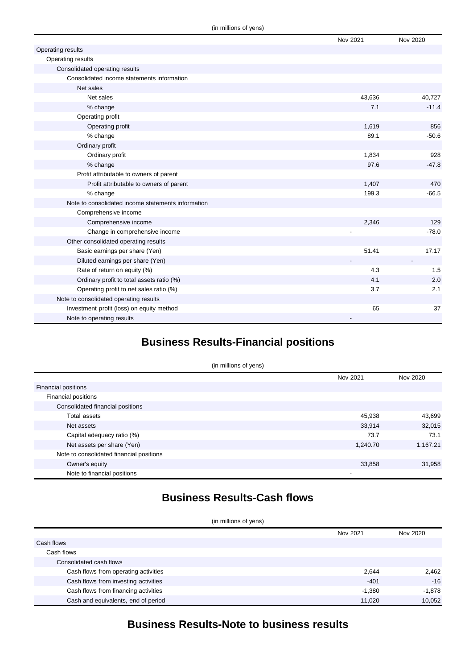|                                                    | Nov 2021 | Nov 2020 |
|----------------------------------------------------|----------|----------|
| Operating results                                  |          |          |
| Operating results                                  |          |          |
| Consolidated operating results                     |          |          |
| Consolidated income statements information         |          |          |
| Net sales                                          |          |          |
| Net sales                                          | 43,636   | 40,727   |
| % change                                           | 7.1      | $-11.4$  |
| Operating profit                                   |          |          |
| Operating profit                                   | 1,619    | 856      |
| % change                                           | 89.1     | $-50.6$  |
| Ordinary profit                                    |          |          |
| Ordinary profit                                    | 1,834    | 928      |
| % change                                           | 97.6     | $-47.8$  |
| Profit attributable to owners of parent            |          |          |
| Profit attributable to owners of parent            | 1,407    | 470      |
| % change                                           | 199.3    | $-66.5$  |
| Note to consolidated income statements information |          |          |
| Comprehensive income                               |          |          |
| Comprehensive income                               | 2,346    | 129      |
| Change in comprehensive income                     |          | $-78.0$  |
| Other consolidated operating results               |          |          |
| Basic earnings per share (Yen)                     | 51.41    | 17.17    |
| Diluted earnings per share (Yen)                   |          |          |
| Rate of return on equity (%)                       | 4.3      | 1.5      |
| Ordinary profit to total assets ratio (%)          | 4.1      | 2.0      |
| Operating profit to net sales ratio (%)            | 3.7      | 2.1      |
| Note to consolidated operating results             |          |          |
| Investment profit (loss) on equity method          | 65       | 37       |
| Note to operating results                          | -        |          |

# **Business Results-Financial positions**

| (in millions of yens)                    |          |          |
|------------------------------------------|----------|----------|
|                                          | Nov 2021 | Nov 2020 |
| <b>Financial positions</b>               |          |          |
| Financial positions                      |          |          |
| Consolidated financial positions         |          |          |
| Total assets                             | 45,938   | 43,699   |
| Net assets                               | 33,914   | 32,015   |
| Capital adequacy ratio (%)               | 73.7     | 73.1     |
| Net assets per share (Yen)               | 1,240.70 | 1,167.21 |
| Note to consolidated financial positions |          |          |
| Owner's equity                           | 33,858   | 31,958   |
| Note to financial positions              |          |          |

# **Business Results-Cash flows**

(in millions of yens)

|                                      | Nov 2021 | Nov 2020 |
|--------------------------------------|----------|----------|
| Cash flows                           |          |          |
| Cash flows                           |          |          |
| Consolidated cash flows              |          |          |
| Cash flows from operating activities | 2,644    | 2,462    |
| Cash flows from investing activities | $-401$   | $-16$    |
| Cash flows from financing activities | $-1,380$ | $-1,878$ |
| Cash and equivalents, end of period  | 11,020   | 10,052   |

# **Business Results-Note to business results**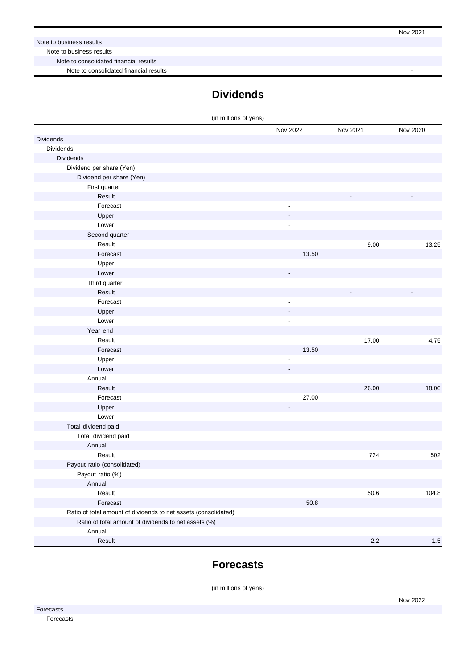#### Note to business results

Note to business results

Note to consolidated financial results

Note to consolidated financial results

# **Dividends**

| (in millions of yens)                                           |                          |          |          |
|-----------------------------------------------------------------|--------------------------|----------|----------|
|                                                                 | Nov 2022                 | Nov 2021 | Nov 2020 |
| Dividends                                                       |                          |          |          |
| <b>Dividends</b>                                                |                          |          |          |
| <b>Dividends</b>                                                |                          |          |          |
| Dividend per share (Yen)                                        |                          |          |          |
| Dividend per share (Yen)                                        |                          |          |          |
| First quarter                                                   |                          |          |          |
| Result                                                          |                          |          |          |
| Forecast                                                        | $\overline{\phantom{a}}$ |          |          |
| Upper                                                           |                          |          |          |
| Lower                                                           | $\overline{a}$           |          |          |
| Second quarter                                                  |                          |          |          |
| Result                                                          |                          | 9.00     | 13.25    |
| Forecast                                                        | 13.50                    |          |          |
| Upper                                                           | ÷,                       |          |          |
| Lower                                                           |                          |          |          |
| Third quarter                                                   |                          |          |          |
| Result                                                          |                          |          |          |
| Forecast                                                        | $\overline{\phantom{a}}$ |          |          |
| Upper                                                           | $\overline{\phantom{a}}$ |          |          |
| Lower                                                           | $\overline{\phantom{a}}$ |          |          |
| Year end                                                        |                          |          |          |
| Result                                                          |                          | 17.00    | 4.75     |
| Forecast                                                        | 13.50                    |          |          |
| Upper                                                           | ÷,                       |          |          |
| Lower                                                           |                          |          |          |
| Annual                                                          |                          |          |          |
| Result                                                          |                          | 26.00    | 18.00    |
| Forecast                                                        | 27.00                    |          |          |
| Upper                                                           | $\overline{\phantom{a}}$ |          |          |
| Lower                                                           | $\overline{\phantom{a}}$ |          |          |
| Total dividend paid                                             |                          |          |          |
| Total dividend paid                                             |                          |          |          |
| Annual                                                          |                          |          |          |
| Result                                                          |                          | 724      | 502      |
| Payout ratio (consolidated)                                     |                          |          |          |
| Payout ratio (%)                                                |                          |          |          |
| Annual                                                          |                          |          |          |
| Result                                                          |                          | 50.6     | 104.8    |
| Forecast                                                        | 50.8                     |          |          |
| Ratio of total amount of dividends to net assets (consolidated) |                          |          |          |
| Ratio of total amount of dividends to net assets (%)            |                          |          |          |
| Annual                                                          |                          |          |          |
| Result                                                          |                          | $2.2\,$  | 1.5      |

## **Forecasts**

(in millions of yens)

Forecasts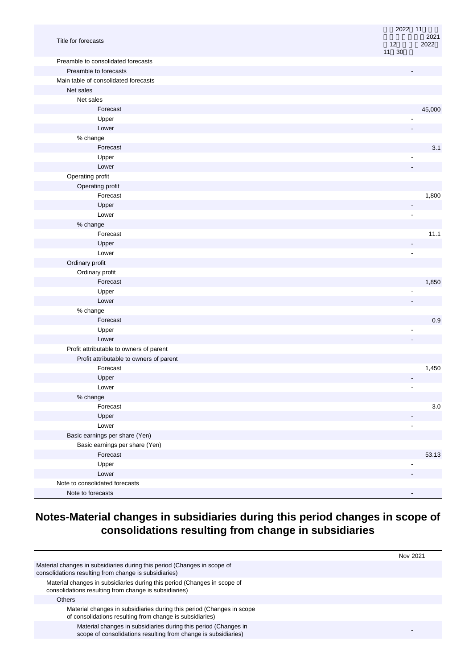|                                         | 2022 11<br>2021          |
|-----------------------------------------|--------------------------|
| Title for forecasts                     | 2022<br>12<br>11 30      |
| Preamble to consolidated forecasts      |                          |
| Preamble to forecasts                   |                          |
| Main table of consolidated forecasts    |                          |
| Net sales                               |                          |
| Net sales                               |                          |
| Forecast                                | 45,000                   |
| Upper                                   |                          |
| Lower                                   |                          |
| % change                                |                          |
| Forecast                                | 3.1                      |
| Upper                                   |                          |
| Lower                                   |                          |
| Operating profit                        |                          |
| Operating profit                        |                          |
| Forecast                                | 1,800                    |
| Upper                                   |                          |
| Lower                                   | ÷,                       |
| % change                                |                          |
| Forecast                                | 11.1                     |
| Upper                                   |                          |
| Lower                                   | ÷,                       |
| Ordinary profit                         |                          |
| Ordinary profit                         |                          |
| Forecast                                | 1,850                    |
| Upper                                   |                          |
| Lower                                   |                          |
| % change                                |                          |
| Forecast                                | 0.9                      |
| Upper                                   |                          |
| Lower                                   |                          |
| Profit attributable to owners of parent |                          |
| Profit attributable to owners of parent |                          |
| Forecast                                | 1,450                    |
| Upper                                   | $\overline{\phantom{a}}$ |
| Lower                                   | $\blacksquare$           |
| % change                                |                          |
| Forecast                                | $3.0\,$                  |
| Upper                                   |                          |
| Lower                                   |                          |
| Basic earnings per share (Yen)          |                          |
| Basic earnings per share (Yen)          |                          |
| Forecast                                | 53.13                    |
| Upper                                   |                          |
| Lower                                   |                          |
| Note to consolidated forecasts          |                          |
| Note to forecasts                       |                          |

# **Notes-Material changes in subsidiaries during this period changes in scope of consolidations resulting from change in subsidiaries**

|                                                                                                                                   | Nov 2021 |
|-----------------------------------------------------------------------------------------------------------------------------------|----------|
| Material changes in subsidiaries during this period (Changes in scope of<br>consolidations resulting from change is subsidiaries) |          |
| Material changes in subsidiaries during this period (Changes in scope of<br>consolidations resulting from change is subsidiaries) |          |
| Others                                                                                                                            |          |
| Material changes in subsidiaries during this period (Changes in scope<br>of consolidations resulting from change is subsidiaries) |          |
| Material changes in subsidiaries during this period (Changes in<br>scope of consolidations resulting from change is subsidiaries) |          |
|                                                                                                                                   |          |